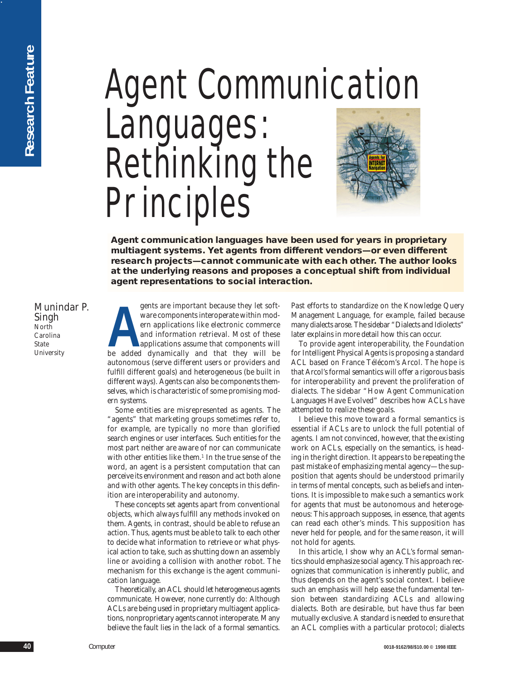# Agent Communication Languages: Rethinking the Principles

**Agent communication languages have been used for years in proprietary multiagent systems. Yet agents from different vendors—or even different research projects—cannot communicate with each other. The author looks at the underlying reasons and proposes a conceptual shift from individual agent representations to social interaction.**

*Munindar P. Singh* North Carolina State University

gents are important because they let software components interoperate within modern applications like electronic commerce and information retrieval. Most of these applications assume that components will be added dynamical gents are important because they let software components interoperate within modern applications like electronic commerce and information retrieval. Most of these applications assume that components will autonomous (serve different users or providers and fulfill different goals) and heterogeneous (be built in different ways). Agents can also be components themselves, which is characteristic of some promising modern systems.

Some entities are misrepresented as agents. The "agents" that marketing groups sometimes refer to, for example, are typically no more than glorified search engines or user interfaces. Such entities for the most part neither are aware of nor can communicate with other entities like them.<sup>1</sup> In the true sense of the word, an agent is a persistent computation that can perceive its environment and reason and act both alone and with other agents. The key concepts in this definition are *interoperability* and *autonomy*.

These concepts set agents apart from conventional objects, which always fulfill any methods invoked on them. Agents, in contrast, should be able to refuse an action. Thus, agents must be able to talk to each other to decide what information to retrieve or what physical action to take, such as shutting down an assembly line or avoiding a collision with another robot. The mechanism for this exchange is the *agent communication language*.

Theoretically, an ACL should let heterogeneous agents communicate. However, none currently do: Although ACLs are being used in proprietary multiagent applications, nonproprietary agents cannot interoperate. Many believe the fault lies in the lack of a formal semantics. Past efforts to standardize on the Knowledge Query Management Language, for example, failed because many dialects arose. The sidebar "Dialects and Idiolects" later explains in more detail how this can occur.

To provide agent interoperability, the Foundation for Intelligent Physical Agents is proposing a standard ACL based on France Télécom's Arcol. The hope is that Arcol's formal semantics will offer a rigorous basis for interoperability and prevent the proliferation of dialects. The sidebar "How Agent Communication Languages Have Evolved" describes how ACLs have attempted to realize these goals.

I believe this move toward a formal semantics is essential if ACLs are to unlock the full potential of agents. I am not convinced, however, that the existing work on ACLs, especially on the semantics, is heading in the right direction. It appears to be repeating the past mistake of emphasizing *mental agency—*the supposition that agents should be understood primarily in terms of mental concepts, such as beliefs and intentions. It is impossible to make such a semantics work for agents that must be autonomous and heterogeneous: This approach supposes, in essence, that agents can read each other's minds. This supposition has never held for people, and for the same reason, it will not hold for agents.

In this article, I show why an ACL's formal semantics should emphasize *social agency.* This approach recognizes that communication is inherently public, and thus depends on the agent's social context. I believe such an emphasis will help ease the fundamental tension between standardizing ACLs and allowing dialects. Both are desirable, but have thus far been mutually exclusive. A standard is needed to ensure that an ACL complies with a particular protocol; dialects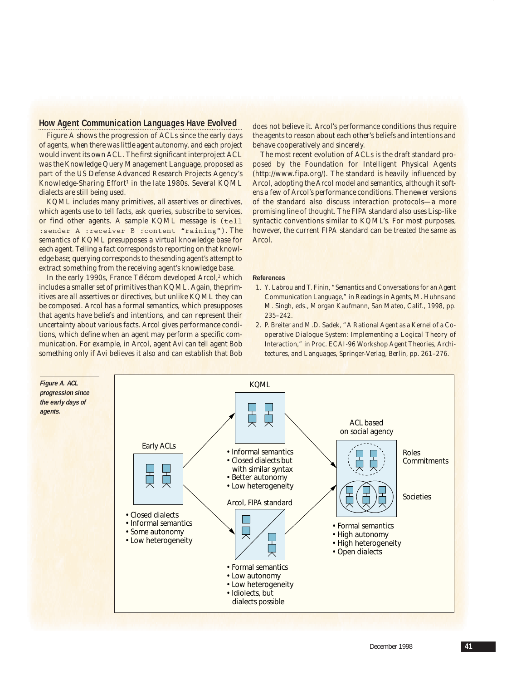## **How Agent Communication Languages Have Evolved**

Figure A shows the progression of ACLs since the early days of agents, when there was little agent autonomy, and each project would invent its own ACL. The first significant interproject ACL was the Knowledge Query Management Language, proposed as part of the US Defense Advanced Research Projects Agency's Knowledge-Sharing Effort<sup>1</sup> in the late 1980s. Several KQML dialects are still being used.

KQML includes many primitives, all assertives or directives, which agents use to tell facts, ask queries, subscribe to services, or find other agents. A sample KQML message is **(tell :sender A :receiver B :content "raining")**. The semantics of KQML presupposes a virtual knowledge base for each agent. Telling a fact corresponds to reporting on that knowledge base; querying corresponds to the sending agent's attempt to extract something from the receiving agent's knowledge base.

In the early 1990s, France Télécom developed Arcol,<sup>2</sup> which includes a smaller set of primitives than KQML. Again, the primitives are all assertives or directives, but unlike KQML they can be composed. Arcol has a formal semantics, which presupposes that agents have beliefs and intentions, and can represent their uncertainty about various facts. Arcol gives performance conditions, which define when an agent may perform a specific communication. For example, in Arcol, agent Avi can tell agent Bob something only if Avi believes it also and can establish that Bob does not believe it. Arcol's performance conditions thus require the agents to reason about each other's beliefs and intentions and behave cooperatively and sincerely.

The most recent evolution of ACLs is the draft standard proposed by the Foundation for Intelligent Physical Agents (http://www.fipa.org/). The standard is heavily influenced by Arcol, adopting the Arcol model and semantics, although it softens a few of Arcol's performance conditions. The newer versions of the standard also discuss interaction protocols—a more promising line of thought. The FIPA standard also uses Lisp-like syntactic conventions similar to KQML's. For most purposes, however, the current FIPA standard can be treated the same as Arcol.

## **References**

- 1. Y. Labrou and T. Finin, "Semantics and Conversations for an Agent Communication Language," in *Readings in Agents*, M. Huhns and M. Singh, eds., Morgan Kaufmann, San Mateo, Calif., 1998, pp. 235–242.
- 2. P. Breiter and M.D. Sadek, "A Rational Agent as a Kernel of a Cooperative Dialogue System: Implementing a Logical Theory of Interaction," in *Proc. ECAI-96 Workshop Agent Theories, Architectures, and Languages*, Springer-Verlag, Berlin, pp. 261–276.

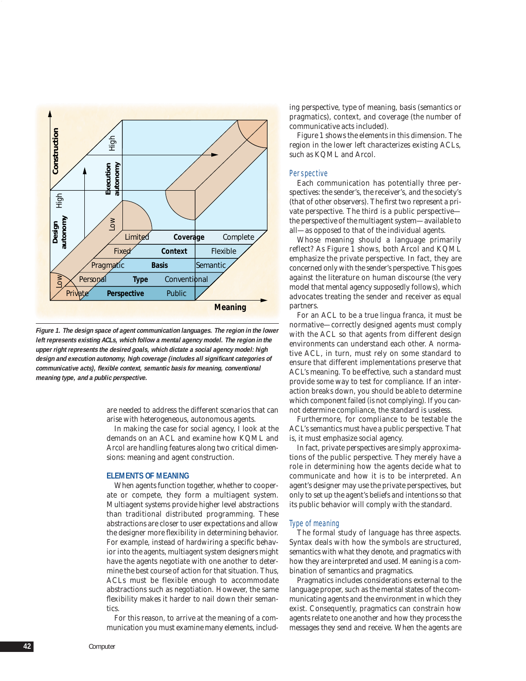

**Figure 1. The design space of agent communication languages. The region in the lower left represents existing ACLs, which follow a mental agency model. The region in the upper right represents the desired goals, which dictate a social agency model: high design and execution autonomy, high coverage (includes all significant categories of communicative acts), flexible context, semantic basis for meaning, conventional meaning type, and a public perspective.** 

are needed to address the different scenarios that can arise with heterogeneous, autonomous agents.

In making the case for social agency, I look at the demands on an ACL and examine how KQML and Arcol are handling features along two critical dimensions: meaning and agent construction.

#### **ELEMENTS OF MEANING**

When agents function together, whether to cooperate or compete, they form a *multiagent system*. Multiagent systems provide higher level abstractions than traditional distributed programming. These abstractions are closer to user expectations and allow the designer more flexibility in determining behavior. For example, instead of hardwiring a specific behavior into the agents, multiagent system designers might have the agents negotiate with one another to determine the best course of action for that situation. Thus, ACLs must be flexible enough to accommodate abstractions such as negotiation. However, the same flexibility makes it harder to nail down their semantics.

For this reason, to arrive at the meaning of a communication you must examine many elements, including perspective, type of meaning, basis (semantics or pragmatics), context, and coverage (the number of communicative acts included).

Figure 1 shows the elements in this dimension. The region in the lower left characterizes existing ACLs, such as KQML and Arcol.

#### **Perspective**

Each communication has potentially three perspectives: the sender's, the receiver's, and the society's (that of other observers). The first two represent a *private* perspective. The third is a *public* perspective the perspective of the multiagent system—available to all—as opposed to that of the individual agents.

Whose meaning should a language primarily reflect? As Figure 1 shows, both Arcol and KQML emphasize the private perspective. In fact, they are concerned only with the sender's perspective. This goes against the literature on human discourse (the very model that mental agency supposedly follows), which advocates treating the sender and receiver as equal partners.

For an ACL to be a true lingua franca, it must be *normative—*correctly designed agents must comply with the ACL so that agents from different design environments can understand each other. A normative ACL, in turn, must rely on some standard to ensure that different implementations preserve that ACL's meaning. To be effective, such a standard must provide some way to test for compliance. If an interaction breaks down, you should be able to determine which component failed (is not complying). If you cannot determine compliance, the standard is useless.

Furthermore, for compliance to be testable the ACL's semantics must have a public perspective. That is, it must emphasize social agency.

In fact, private perspectives are simply approximations of the public perspective. They merely have a role in determining how the agents decide what to communicate and how it is to be interpreted. An agent's designer may use the private perspectives, but only to set up the agent's beliefs and intentions so that its public behavior will comply with the standard.

## Type of meaning

The formal study of language has three aspects. *Syntax* deals with how the symbols are structured, *semantics* with what they denote, and *pragmatics* with how they are interpreted and used. Meaning is a combination of semantics and pragmatics.

Pragmatics includes considerations external to the language proper, such as the mental states of the communicating agents and the environment in which they exist. Consequently, pragmatics can constrain how agents relate to one another and how they process the messages they send and receive. When the agents are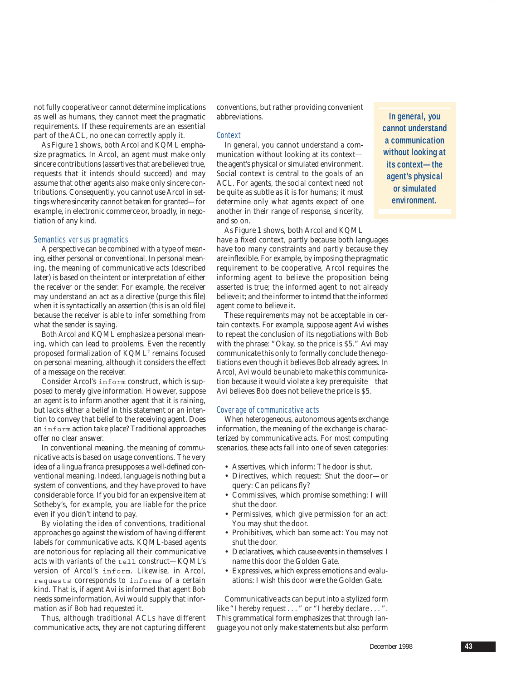not fully cooperative or cannot determine implications as well as humans, they cannot meet the pragmatic requirements. If these requirements are an essential part of the ACL, no one can correctly apply it.

As Figure 1 shows, both Arcol and KQML emphasize pragmatics. In Arcol, an agent must make only *sincere contributions*(assertives that are believed true, requests that it intends should succeed) and may assume that other agents also make only sincere contributions. Consequently, you cannot use Arcol in settings where sincerity cannot be taken for granted—for example, in electronic commerce or, broadly, in negotiation of any kind.

# Semantics versus pragmatics

A perspective can be combined with a type of meaning, either personal or conventional. In *personal* meaning*,* the meaning of communicative acts (described later) is based on the *intent* or interpretation of either the receiver or the sender. For example, the receiver may understand an act as a directive (purge this file) when it is syntactically an assertion (this is an old file) because the receiver is able to infer something from what the sender is saying.

Both Arcol and KQML emphasize a personal meaning, which can lead to problems. Even the recently proposed formalization of KQML2 remains focused on personal meaning, although it considers the effect of a message on the receiver.

Consider Arcol's **inform** construct, which is supposed to merely give information. However, suppose an agent is to inform another agent that it is raining, but lacks either a belief in this statement or an intention to convey that belief to the receiving agent. Does an **inform** action take place? Traditional approaches offer no clear answer.

In *conventional* meaning, the meaning of communicative acts is based on usage conventions. The very idea of a lingua franca presupposes a well-defined conventional meaning. Indeed, language is nothing *but* a system of conventions, and they have proved to have considerable force. If you bid for an expensive item at Sotheby's, for example, you are liable for the price even if you didn't intend to pay.

By violating the idea of conventions, traditional approaches go against the wisdom of having different labels for communicative acts. KQML-based agents are notorious for replacing all their communicative acts with variants of the **tell** construct—KQML's version of Arcol's **inform**. Likewise, in Arcol, **requests** corresponds to **informs** of a certain kind. That is, if agent Avi is informed that agent Bob needs some information, Avi would supply that information as if Bob had requested it.

Thus, although traditional ACLs have different communicative acts, they are not capturing different conventions, but rather providing convenient abbreviations.

#### **Context**

In general, you cannot understand a communication without looking at its context the agent's physical or simulated environment. Social context is central to the goals of an ACL. For agents, the social context need not be quite as subtle as it is for humans; it must determine only what agents expect of one another in their range of response, sincerity, and so on.

As Figure 1 shows, both Arcol and KQML have a fixed context, partly because both languages have too many constraints and partly because they are inflexible. For example, by imposing the pragmatic requirement to be cooperative, Arcol requires the informing agent to believe the proposition being asserted is true; the informed agent to not already believe it; and the informer to intend that the informed agent come to believe it.

These requirements may not be acceptable in certain contexts. For example, suppose agent Avi wishes to repeat the conclusion of its negotiations with Bob with the phrase: "Okay, so the price is \$5." Avi may communicate this only to formally conclude the negotiations even though it believes Bob already agrees. In Arcol, Avi would be unable to make this communication because it would violate a key prerequisite—that Avi believes Bob does not believe the price is \$5.

#### Coverage of communicative acts

When heterogeneous, autonomous agents exchange information, the meaning of the exchange is characterized by *communicative acts*. For most computing scenarios, these acts fall into one of seven categories:

- *Assertives*, which inform: The door is shut.
- *Directives*, which request: Shut the door—or query: Can pelicans fly?
- *Commissives*, which promise something: I will shut the door.
- *Permissives*, which give permission for an act: You may shut the door.
- *Prohibitives*, which ban some act: You may not shut the door.
- *Declaratives*, which cause events in themselves: I name this door the Golden Gate.
- *Expressives*, which express emotions and evaluations: I wish this door were the Golden Gate.

Communicative acts can be put into a stylized form like "I hereby request . . . " or "I hereby declare . . . ". This grammatical form emphasizes that through language you not only make statements but also perform

**In general, you cannot understand a communication without looking at its context—the agent's physical or simulated environment.**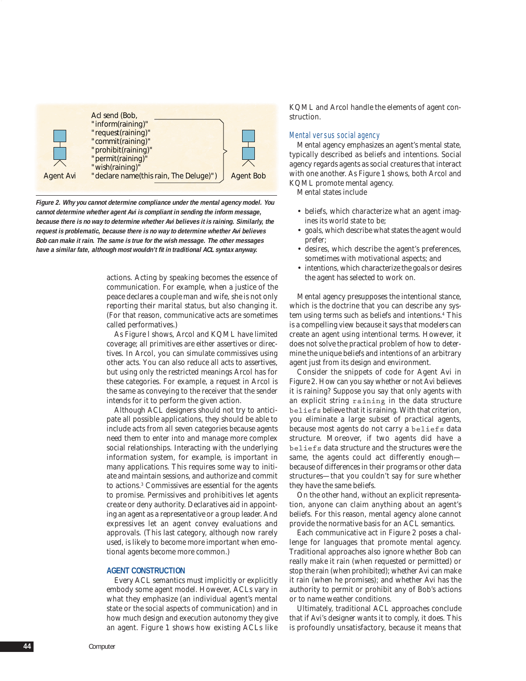

**Figure 2. Why you cannot determine compliance under the mental agency model. You cannot determine whether agent Avi is compliant in sending the inform message, because there is no way to determine whether Avi believes it is raining. Similarly, the request is problematic, because there is no way to determine whether Avi believes Bob can make it rain. The same is true for the wish message. The other messages have a similar fate, although most wouldn't fit in traditional ACL syntax anyway.** 

actions. Acting by speaking becomes the essence of communication. For example, when a justice of the peace declares a couple man and wife, she is not only reporting their marital status, but also changing it. (For that reason, communicative acts are sometimes called *performatives*.)

As Figure l shows, Arcol and KQML have limited coverage; all primitives are either assertives or directives. In Arcol, you can simulate commissives using other acts. You can also reduce all acts to assertives, but using only the restricted meanings Arcol has for these categories. For example, a request in Arcol is the same as conveying to the receiver that the sender intends for it to perform the given action.

Although ACL designers should not try to anticipate all possible applications, they should be able to include acts from all seven categories because agents need them to enter into and manage more complex social relationships. Interacting with the underlying information system, for example, is important in many applications. This requires some way to initiate and maintain sessions, and authorize and commit to actions.3 Commissives are essential for the agents to promise. Permissives and prohibitives let agents create or deny authority. Declaratives aid in appointing an agent as a representative or a group leader. And expressives let an agent convey evaluations and approvals. (This last category, although now rarely used, is likely to become more important when emotional agents become more common.)

#### **AGENT CONSTRUCTION**

Every ACL semantics must implicitly or explicitly embody some agent model. However, ACLs vary in what they emphasize (an individual agent's mental state or the social aspects of communication) and in how much design and execution autonomy they give an agent. Figure 1 shows how existing ACLs like KQML and Arcol handle the elements of agent construction.

#### Mental versus social agency

Mental agency emphasizes an agent's mental state, typically described as beliefs and intentions. Social agency regards agents as social creatures that interact with one another. As Figure 1 shows, both Arcol and KQML promote mental agency.

Mental states include

- *beliefs,* which characterize what an agent imagines its world state to be;
- *goals*, which describe what states the agent would prefer;
- *desires*, which describe the agent's preferences, sometimes with motivational aspects; and
- *intentions*, which characterize the goals or desires the agent has selected to work on.

Mental agency presupposes the *intentional stance,* which is the doctrine that you can describe any system using terms such as beliefs and intentions.<sup>4</sup> This is a compelling view because it says that modelers can create an agent using intentional terms. However, it does not solve the practical problem of how to determine the unique beliefs and intentions of an arbitrary agent just from its design and environment.

Consider the snippets of code for Agent Avi in Figure 2. How can you say whether or not Avi believes it is raining? Suppose you say that only agents with an explicit string **raining** in the data structure **beliefs** believe that it is raining. With that criterion, you eliminate a large subset of practical agents, because most agents do not carry a **beliefs** data structure. Moreover, if two agents did have a **beliefs** data structure and the structures were the same, the agents could act differently enough because of differences in their programs or other data structures—that you couldn't say for sure whether they have the same beliefs.

On the other hand, without an explicit representation, anyone can claim anything about an agent's beliefs. For this reason, mental agency alone cannot provide the normative basis for an ACL semantics.

Each communicative act in Figure 2 poses a challenge for languages that promote mental agency. Traditional approaches also ignore whether Bob can really make it rain (when requested or permitted) or stop the rain (when prohibited); whether Avi can make it rain (when he promises); and whether Avi has the authority to permit or prohibit any of Bob's actions or to name weather conditions.

Ultimately, traditional ACL approaches conclude that if Avi's designer wants it to comply, it does. This is profoundly unsatisfactory, because it means that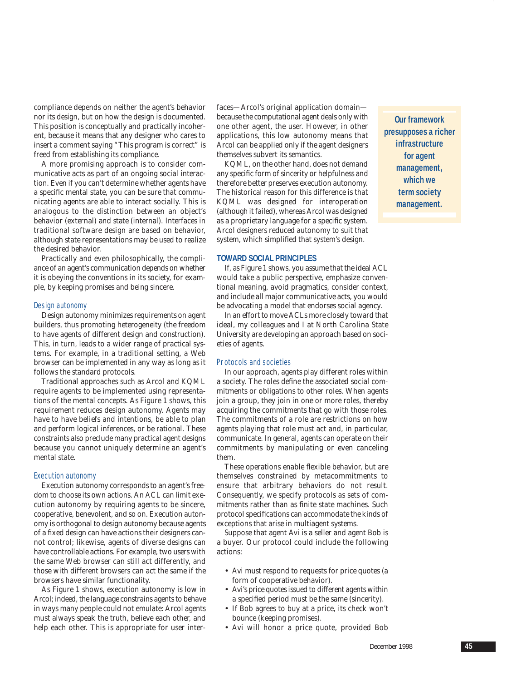compliance depends on neither the agent's behavior nor its design, but on how the design is documented. This position is conceptually and practically incoherent, because it means that any designer who cares to insert a comment saying "This program is correct" is freed from establishing its compliance.

A more promising approach is to consider communicative acts as part of an ongoing social interaction. Even if you can't determine whether agents have a specific mental state, you can be sure that communicating agents are able to interact socially. This is analogous to the distinction between an object's behavior (external) and state (internal). Interfaces in traditional software design are based on behavior, although state representations may be used to realize the desired behavior.

Practically and even philosophically, the compliance of an agent's communication depends on whether it is obeying the conventions in its society, for example, by keeping promises and being sincere.

#### Design autonomy

Design autonomy minimizes requirements on agent builders, thus promoting heterogeneity (the freedom to have agents of different design and construction). This, in turn, leads to a wider range of practical systems. For example, in a traditional setting, a Web browser can be implemented in any way as long as it follows the standard protocols.

Traditional approaches such as Arcol and KQML require agents to be implemented using representations of the mental concepts. As Figure 1 shows, this requirement reduces design autonomy. Agents may have to have beliefs and intentions, be able to plan and perform logical inferences, or be rational. These constraints also preclude many practical agent designs because you cannot uniquely determine an agent's mental state.

#### Execution autonomy

Execution autonomy corresponds to an agent's freedom to choose its own actions. An ACL can limit execution autonomy by requiring agents to be sincere, cooperative, benevolent, and so on. Execution autonomy is orthogonal to design autonomy because agents of a fixed design can have actions their designers cannot control; likewise, agents of diverse designs can have controllable actions. For example, two users with the same Web browser can still act differently, and those with different browsers can act the same if the browsers have similar functionality.

As Figure 1 shows, execution autonomy is low in Arcol; indeed, the language constrains agents to behave in ways many people could not emulate: Arcol agents must always speak the truth, believe each other, and help each other. This is appropriate for user interfaces—Arcol's original application domain because the computational agent deals only with one other agent, the user. However, in other applications, this low autonomy means that Arcol can be applied only if the agent designers themselves subvert its semantics.

KQML, on the other hand, does not demand any specific form of sincerity or helpfulness and therefore better preserves execution autonomy. The historical reason for this difference is that KQML was designed for interoperation (although it failed), whereas Arcol was designed as a proprietary language for a specific system. Arcol designers reduced autonomy to suit that system, which simplified that system's design.

#### **TOWARD SOCIAL PRINCIPLES**

If, as Figure 1 shows, you assume that the ideal ACL would take a public perspective, emphasize conventional meaning, avoid pragmatics, consider context, and include all major communicative acts, you would be advocating a model that endorses *social agency*.

In an effort to move ACLs more closely toward that ideal, my colleagues and I at North Carolina State University are developing an approach based on societies of agents.

#### Protocols and societies

In our approach, agents play different roles within a society. The roles define the associated social commitments or obligations to other roles. When agents join a group, they join in one or more roles, thereby acquiring the commitments that go with those roles. The commitments of a role are restrictions on how agents playing that role must act and, in particular, communicate. In general, agents can operate on their commitments by manipulating or even canceling them.

These operations enable flexible behavior, but are themselves constrained by metacommitments to ensure that arbitrary behaviors do not result. Consequently, we specify protocols as sets of commitments rather than as finite state machines. Such protocol specifications can accommodate the kinds of exceptions that arise in multiagent systems.

Suppose that agent Avi is a seller and agent Bob is a buyer. Our protocol could include the following actions:

- Avi must respond to requests for price quotes (a form of cooperative behavior).
- Avi's price quotes issued to different agents within a specified period must be the same (sincerity).
- If Bob agrees to buy at a price, its check won't bounce (keeping promises).
- Avi will honor a price quote, provided Bob

**Our framework presupposes a richer infrastructure for agent management, which we term society management.**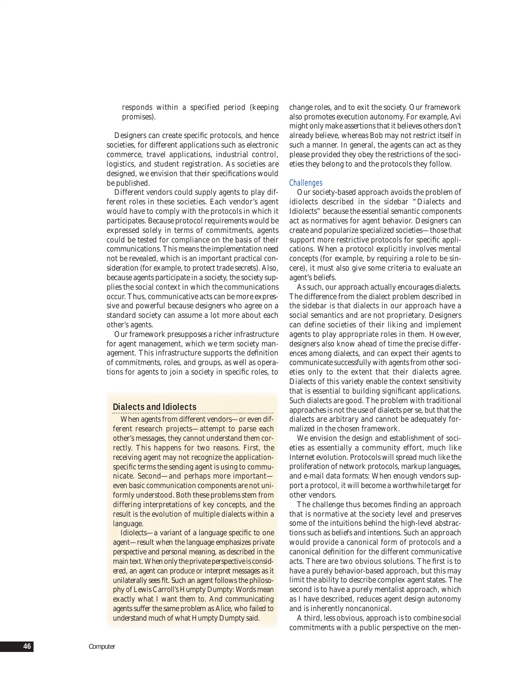responds within a specified period (keeping promises).

Designers can create specific protocols, and hence societies, for different applications such as electronic commerce, travel applications, industrial control, logistics, and student registration. As societies are designed, we envision that their specifications would be published.

Different vendors could supply agents to play different roles in these societies. Each vendor's agent would have to comply with the protocols in which it participates. Because protocol requirements would be expressed solely in terms of commitments, agents could be tested for compliance on the basis of their communications. This means the implementation need not be revealed, which is an important practical consideration (for example, to protect trade secrets). Also, because agents participate in a society, the society supplies the social context in which the communications occur. Thus, communicative acts can be more expressive and powerful because designers who agree on a standard society can assume a lot more about each other's agents.

Our framework presupposes a richer infrastructure for agent management, which we term *society management*. This infrastructure supports the definition of commitments, roles, and groups, as well as operations for agents to join a society in specific roles, to

## **Dialects and Idiolects**

When agents from different vendors—or even different research projects—attempt to parse each other's messages, they cannot understand them correctly. This happens for two reasons. First, the receiving agent may not recognize the applicationspecific terms the sending agent is using to communicate. Second—and perhaps more important even basic communication components are not uniformly understood. Both these problems stem from differing interpretations of key concepts, and the result is the evolution of multiple dialects within a language.

Idiolects—a variant of a language specific to one agent—result when the language emphasizes private perspective and personal meaning, as described in the main text. When only the private perspective is considered, an agent can produce or interpret messages as it unilaterally sees fit. Such an agent follows the philosophy of Lewis Carroll's Humpty Dumpty: Words mean exactly what I want them to. And communicating agents suffer the same problem as Alice, who failed to understand much of what Humpty Dumpty said.

change roles, and to exit the society. Our framework also promotes execution autonomy. For example, Avi might only make assertions that it believes others don't already believe, whereas Bob may not restrict itself in such a manner. In general, the agents can act as they please provided they obey the restrictions of the societies they belong to and the protocols they follow.

#### **Challenges**

Our society-based approach avoids the problem of idiolects described in the sidebar "Dialects and Idiolects" because the essential semantic components act as normatives for agent behavior. Designers can create and popularize specialized societies—those that support more restrictive protocols for specific applications. When a protocol explicitly involves mental concepts (for example, by requiring a role to be sincere), it must also give some criteria to evaluate an agent's beliefs.

As such, our approach actually encourages dialects. The difference from the dialect problem described in the sidebar is that dialects in our approach have a social semantics and are not proprietary. Designers can define societies of their liking and implement agents to play appropriate roles in them. However, designers also know ahead of time the precise differences among dialects, and can expect their agents to communicate successfully with agents from other societies only to the extent that their dialects agree. Dialects of this variety enable the context sensitivity that is essential to building significant applications. Such dialects are good. The problem with traditional approaches is not the use of dialects per se, but that the dialects are arbitrary and cannot be adequately formalized in the chosen framework.

We envision the design and establishment of societies as essentially a community effort, much like Internet evolution. Protocols will spread much like the proliferation of network protocols, markup languages, and e-mail data formats: When enough vendors support a protocol, it will become a worthwhile target for other vendors.

The challenge thus becomes finding an approach that is normative at the society level and preserves some of the intuitions behind the high-level abstractions such as beliefs and intentions. Such an approach would provide a canonical form of protocols and a canonical definition for the different communicative acts. There are two obvious solutions. The first is to have a purely behavior-based approach, but this may limit the ability to describe complex agent states. The second is to have a purely mentalist approach, which as I have described, reduces agent design autonomy and is inherently noncanonical.

A third, less obvious, approach is to combine social commitments with a public perspective on the men